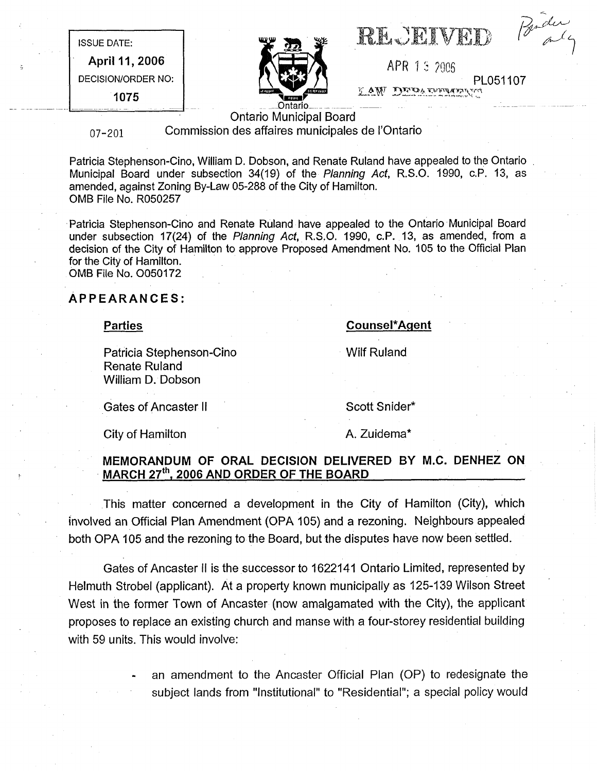ISSUE DATE:

April 11, 2006 DECISION/ORDER NO:

1075



|  | <b>RECEIVED</b> |
|--|-----------------|
|  |                 |

Parder

APR 1 5 2006 PL051107

Ontario Municipal Board

07-201 Commission des affaires municipales de I'Ontario

Patricia Stephenson-Cino, William D. Dobson, and Renate Ruland have appealed to the Ontario Municipal Board under subsection 34(19) of the Planning Act, R.S.O. 1990, c.P. 13, as amended, against Zoning By-Law 05-288 of the City of Hamilton. OMB File No. R050257

Patricia Stephenson-Cino and Renate Ruland have appealed to the Ontario Municipal Board under subsection 17(24) of the Planning Act, R.S.O. 1990, c.P. 13, as amended, from a decision of the City of Hamilton to approve Proposed Amendment No. 105 to the Official Plan for the City of Hamilton. OMB File No. 0050172

APPEARANCES:

**Parties** 

Patricia Stephenson-Cino Renate Ruland William D. Dobson

Gates of Ancaster II Scott Snider\*

Wilf Ruland

Counsel\*Aqent

City of Hamilton **A.** Zuidema\*

MEMORANDUM OF ORAL DECISION DELIVERED BY M.C. DENHEZ ON MARCH 27<sup>th</sup>, 2006 AND ORDER OF THE BOARD

This matter concerned a development in the City of Hamilton (City), which involved an Official Plan Amendment (OPA 105) and a rezoning. Neighbours appealed both OPA 105 and the rezoning to the Board, but the disputes have now been settled.

Gates of Ancaster II is the successor to 1622141 Ontario Limited, represented by Helmuth Strobel (applicant). At a property known municipally as 125-139 Wilson Street West in the former Town of Ancaster (now amalgamated with the City), the applicant proposes to replace an existing church and manse with a four-storey residential building with 59 units. This would involve:

> an amendment to the Ancaster Official Plan (OP) to redesignate the subject lands from "Institutional" to "Residential"; a special policy would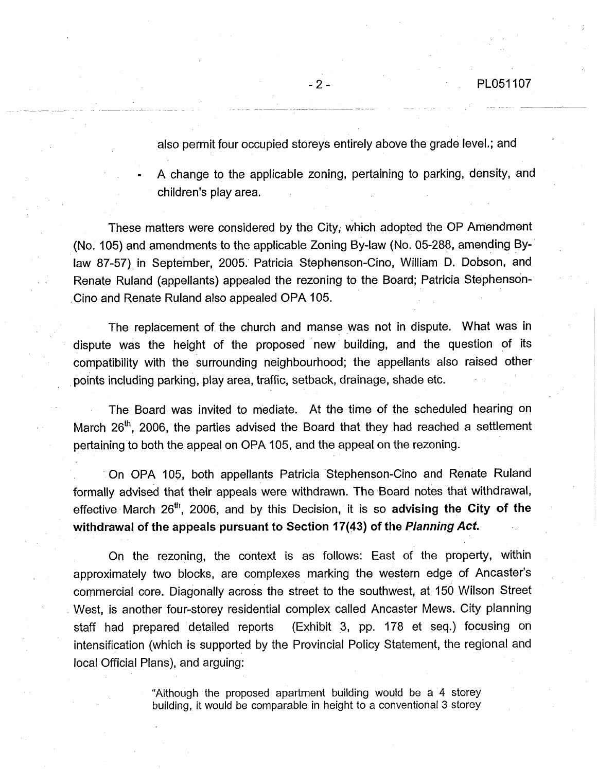also permit four occupied storeys entirely above the grade level.; and

A change to the applicable zoning, pertaining to parking, density, and children's play area.

These matters were considered by the City; which adopted the OP Amendment (No. 105) and amendments to the applicable Zoning By-law (No. 05-288, amending Bylaw 87-57) in September, 2005. Patricia Stephenson-Cino, William D. Dobson, and Renate Ruland (appellants) appealed the rezoning to the Board; Patricia Stephenson-Cino and Renate Ruland also appealed OPA 105.

The replacement of the church and manse was not in dispute. What was in dispute was the height of the proposed new building, and the question of its compatibility with the surrounding neighbourhood; the appellants also raised other • points including parking, play area, traffic, setback, drainage, shade etc.

The Board was invited to mediate. At the time of the scheduled hearing on March  $26<sup>th</sup>$ , 2006, the parties advised the Board that they had reached a settlement pertaining to both the appeal on OPA 105, and the appeal on the rezoning.

On OPA 105, both appellants Patricia Stephenson-Cino and Renate Ruland formally advised that their appeals were withdrawn. The Board notes that withdrawal, effective March  $26<sup>th</sup>$ , 2006, and by this Decision, it is so advising the City of the withdrawal of the appeals pursuant to Section 17(43) of the Planning Act.

On the rezoning, the context is as follows: East of the property, within approximately two blocks, are complexes marking the western edge of Ancaster's commercial core. Diagonally across the street to the southwest, at 150 Wilson Street West, is another four-storey residential complex called Ancaster Mews. City planning staff had prepared detailed reports (Exhibit 3, pp. 178 et seq.) focusing on intensification (which is supported by the Provincial Policy Statement, the regional and local Official Plans), and arguing:

> "Although the proposed apartment building would be a 4 storey building, it would be comparable in height to a conventional 3 storey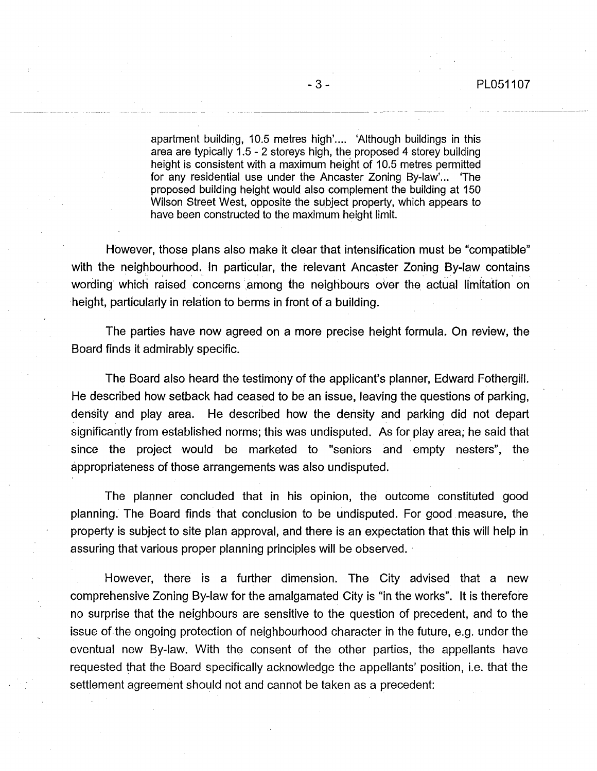apartment building, 10.5 metres high'.... 'Although buildings in this area are typically 1.5 - 2 storeys high, the proposed 4 storey building height is consistent with a maximum height of 10.5 metres permitted for any residential use under the Ancaster Zoning By-law'... 'The proposed building height would also complement the building at 150 Wilson Street West, opposite the subject property, which appears to have been constructed to the maximum height limit.

However, those plans also make it clear that intensification must be "compatible" with the neighbourhood. In particular, the relevant Ancaster Zoning By-law contains wording which raised concerns among the neighbours over the actual limitation on height, particularly in relation to berms in front of a building.

The parties have now agreed on a more precise height formula. On review, the Board finds it admirably specific.

The Board also heard the testimony of the applicant's planner, Edward Fothergill. He described how setback had ceased to be an issue, leaving the questions of parking, density and play area. He described how the density and parking did not depart significantly from established norms; this was undisputed. As for play area, he said that since the project would be marketed to "seniors and empty nesters", the appropriateness of those arrangements was also undisputed.

The planner concluded that in his opinion, the outcome constituted good planning. The Board finds that conclusion to be undisputed. For good measure, the property is subject to site plan approval, and there is an expectation that this will help in assuring that various proper planning principles will be observed.

However, there is a further dimension. The City advised that a new comprehensive Zoning By-law for the amalgamated City is "in the works". It is therefore no surprise that the neighbours are sensitive to the question of precedent, and to the issue of the ongoing protection of neighbourhood character in the future, e.g. under the eventual new By-law. With the consent of the other parties, the appellants have requested that the Board specifically acknowledge the appellants' position, i.e. that the settlement agreement should not and cannot be taken as a precedent: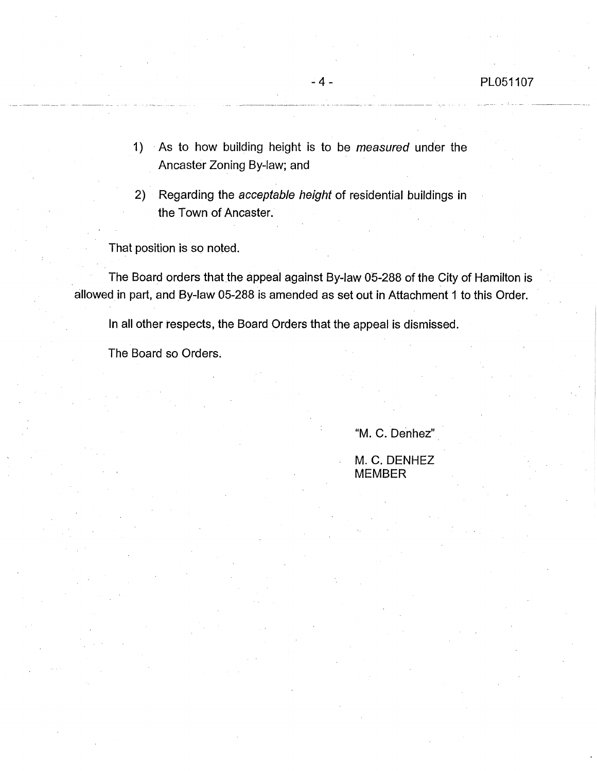- 1) As to how building height is to be measured under the Ancaster Zoning By-law; and
- 2) Regarding the acceptable height of residential buildings in the Town of Ancaster.

That position is so noted.

The Board orders that the appeal against By-law 05-288 of the City of Hamilton is allowed in part, and By-law 05-288 is amended as set out in Attachment 1 to this Order.

In all other respects, the Board Orders that the appeal is dismissed.

The Board so Orders.

## "M. C. Denhez"

M. C. DENHEZ MEMBER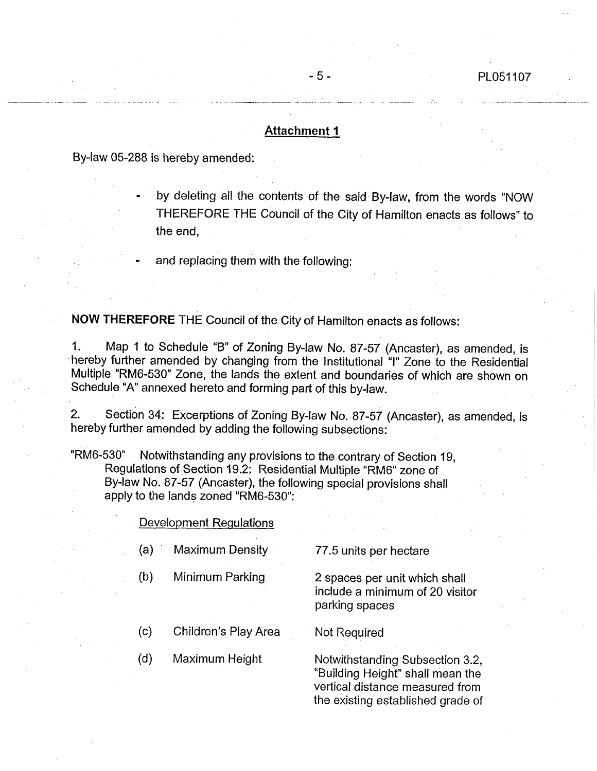## Attachment 1

By-law 05-288 is hereby amended:

by deleting all the contents of the said By-law, from the words "NOW THEREFORE THE Council of the City of Hamilton enacts as follows" to the end,

and replacing them with the following:

NOW THEREFORE THE Council of the City of Hamilton enacts as follows:

1. Map 1 to Schedule "B" of Zoning By-law No. 87-57 (Ancaster), as amended, is hereby further amended by changing from the Institutional "I" Zone to the Residential Multiple "RM6-530" Zone, the lands the extent and boundaries of which are shown on Schedule "A" annexed hereto and forming part of this by-law.

2. Section 34: Excerptions of Zoning By-law No. 87-57 (Ancaster), as amended, is hereby further amended by adding the following subsections:

"RM6-530" Notwithstanding any provisions to the contrary of Section 19, Regulations of Section 19.2: Residential Multiple "RM6" zone of By-law No. 87-57 (Ancaster), the following special provisions shall apply to the lands zoned "RM6-530":

## Development Regulations

- (a) Maximum Density 77.5 units per hectare
	-

(b) Minimum Parking 2 spaces per unit which shall include a minimum of 20 visitor parking spaces

- (c) Children's Play Area Not Required
- 

(d) Maximum Height Notwithstanding Subsection 3.2, "Building Height" shall mean the vertical distance measured from the existing established grade of